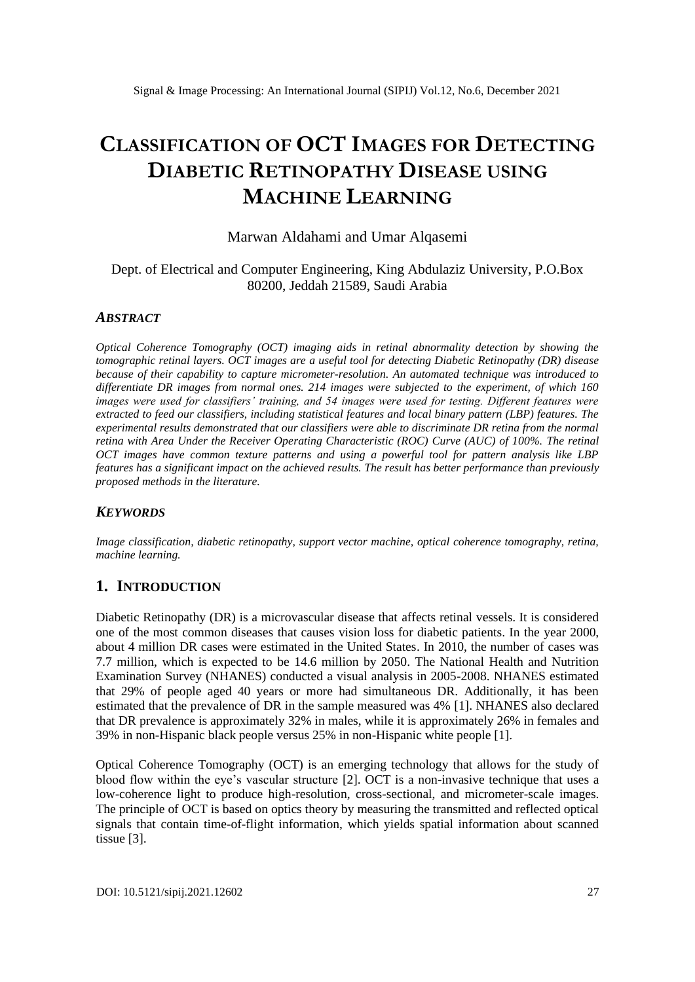# **CLASSIFICATION OF OCT IMAGES FOR DETECTING DIABETIC RETINOPATHY DISEASE USING MACHINE LEARNING**

## Marwan Aldahami and Umar Alqasemi

## Dept. of Electrical and Computer Engineering, King Abdulaziz University, P.O.Box 80200, Jeddah 21589, Saudi Arabia

#### *ABSTRACT*

*Optical Coherence Tomography (OCT) imaging aids in retinal abnormality detection by showing the tomographic retinal layers. OCT images are a useful tool for detecting Diabetic Retinopathy (DR) disease because of their capability to capture micrometer-resolution. An automated technique was introduced to differentiate DR images from normal ones. 214 images were subjected to the experiment, of which 160 images were used for classifiers' training, and 54 images were used for testing. Different features were extracted to feed our classifiers, including statistical features and local binary pattern (LBP) features. The experimental results demonstrated that our classifiers were able to discriminate DR retina from the normal retina with Area Under the Receiver Operating Characteristic (ROC) Curve (AUC) of 100%. The retinal OCT images have common texture patterns and using a powerful tool for pattern analysis like LBP features has a significant impact on the achieved results. The result has better performance than previously proposed methods in the literature.*

#### *KEYWORDS*

*Image classification, diabetic retinopathy, support vector machine, optical coherence tomography, retina, machine learning.*

#### **1. INTRODUCTION**

Diabetic Retinopathy (DR) is a microvascular disease that affects retinal vessels. It is considered one of the most common diseases that causes vision loss for diabetic patients. In the year 2000, about 4 million DR cases were estimated in the United States. In 2010, the number of cases was 7.7 million, which is expected to be 14.6 million by 2050. The National Health and Nutrition Examination Survey (NHANES) conducted a visual analysis in 2005-2008. NHANES estimated that 29% of people aged 40 years or more had simultaneous DR. Additionally, it has been estimated that the prevalence of DR in the sample measured was 4% [1]. NHANES also declared that DR prevalence is approximately 32% in males, while it is approximately 26% in females and 39% in non-Hispanic black people versus 25% in non-Hispanic white people [1].

Optical Coherence Tomography (OCT) is an emerging technology that allows for the study of blood flow within the eye's vascular structure [2]. OCT is a non-invasive technique that uses a low-coherence light to produce high-resolution, cross-sectional, and micrometer-scale images. The principle of OCT is based on optics theory by measuring the transmitted and reflected optical signals that contain time-of-flight information, which yields spatial information about scanned tissue [3].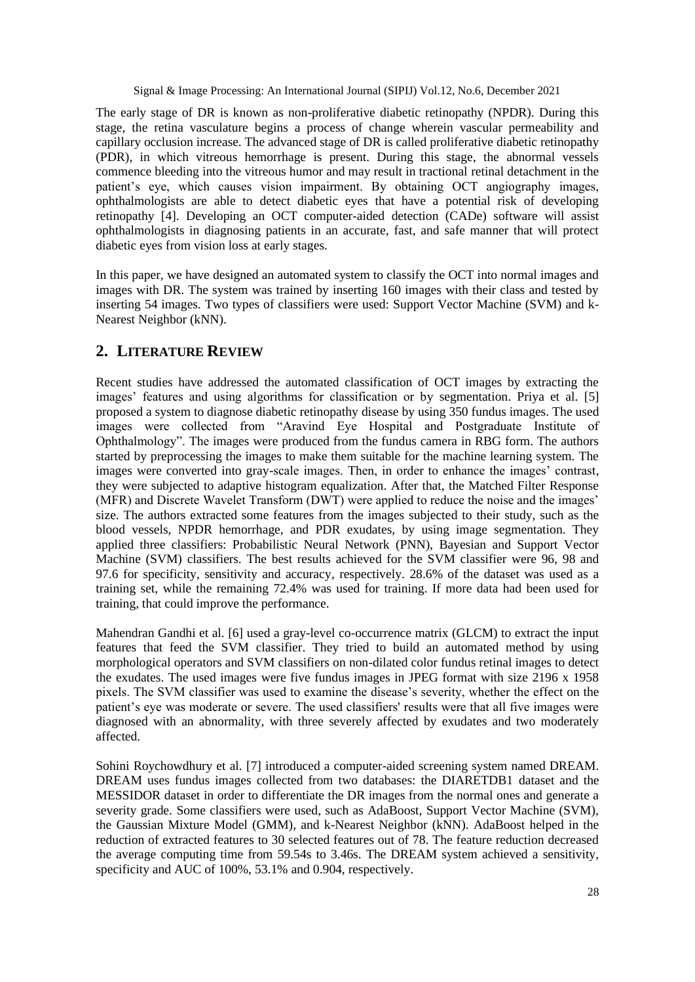The early stage of DR is known as non-proliferative diabetic retinopathy (NPDR). During this stage, the retina vasculature begins a process of change wherein vascular permeability and capillary occlusion increase. The advanced stage of DR is called proliferative diabetic retinopathy (PDR), in which vitreous hemorrhage is present. During this stage, the abnormal vessels commence bleeding into the vitreous humor and may result in tractional retinal detachment in the patient's eye, which causes vision impairment. By obtaining OCT angiography images, ophthalmologists are able to detect diabetic eyes that have a potential risk of developing retinopathy [4]. Developing an OCT computer-aided detection (CADe) software will assist ophthalmologists in diagnosing patients in an accurate, fast, and safe manner that will protect diabetic eyes from vision loss at early stages.

In this paper, we have designed an automated system to classify the OCT into normal images and images with DR. The system was trained by inserting 160 images with their class and tested by inserting 54 images. Two types of classifiers were used: Support Vector Machine (SVM) and k-Nearest Neighbor (kNN).

# **2. LITERATURE REVIEW**

Recent studies have addressed the automated classification of OCT images by extracting the images' features and using algorithms for classification or by segmentation. Priya et al. [5] proposed a system to diagnose diabetic retinopathy disease by using 350 fundus images. The used images were collected from "Aravind Eye Hospital and Postgraduate Institute of Ophthalmology". The images were produced from the fundus camera in RBG form. The authors started by preprocessing the images to make them suitable for the machine learning system. The images were converted into gray-scale images. Then, in order to enhance the images' contrast, they were subjected to adaptive histogram equalization. After that, the Matched Filter Response (MFR) and Discrete Wavelet Transform (DWT) were applied to reduce the noise and the images' size. The authors extracted some features from the images subjected to their study, such as the blood vessels, NPDR hemorrhage, and PDR exudates, by using image segmentation. They applied three classifiers: Probabilistic Neural Network (PNN), Bayesian and Support Vector Machine (SVM) classifiers. The best results achieved for the SVM classifier were 96, 98 and 97.6 for specificity, sensitivity and accuracy, respectively. 28.6% of the dataset was used as a training set, while the remaining 72.4% was used for training. If more data had been used for training, that could improve the performance.

Mahendran Gandhi et al. [6] used a gray-level co-occurrence matrix (GLCM) to extract the input features that feed the SVM classifier. They tried to build an automated method by using morphological operators and SVM classifiers on non-dilated color fundus retinal images to detect the exudates. The used images were five fundus images in JPEG format with size 2196 x 1958 pixels. The SVM classifier was used to examine the disease's severity, whether the effect on the patient's eye was moderate or severe. The used classifiers' results were that all five images were diagnosed with an abnormality, with three severely affected by exudates and two moderately affected.

Sohini Roychowdhury et al. [7] introduced a computer-aided screening system named DREAM. DREAM uses fundus images collected from two databases: the DIARETDB1 dataset and the MESSIDOR dataset in order to differentiate the DR images from the normal ones and generate a severity grade. Some classifiers were used, such as AdaBoost, Support Vector Machine (SVM), the Gaussian Mixture Model (GMM), and k-Nearest Neighbor (kNN). AdaBoost helped in the reduction of extracted features to 30 selected features out of 78. The feature reduction decreased the average computing time from 59.54s to 3.46s. The DREAM system achieved a sensitivity, specificity and AUC of 100%, 53.1% and 0.904, respectively.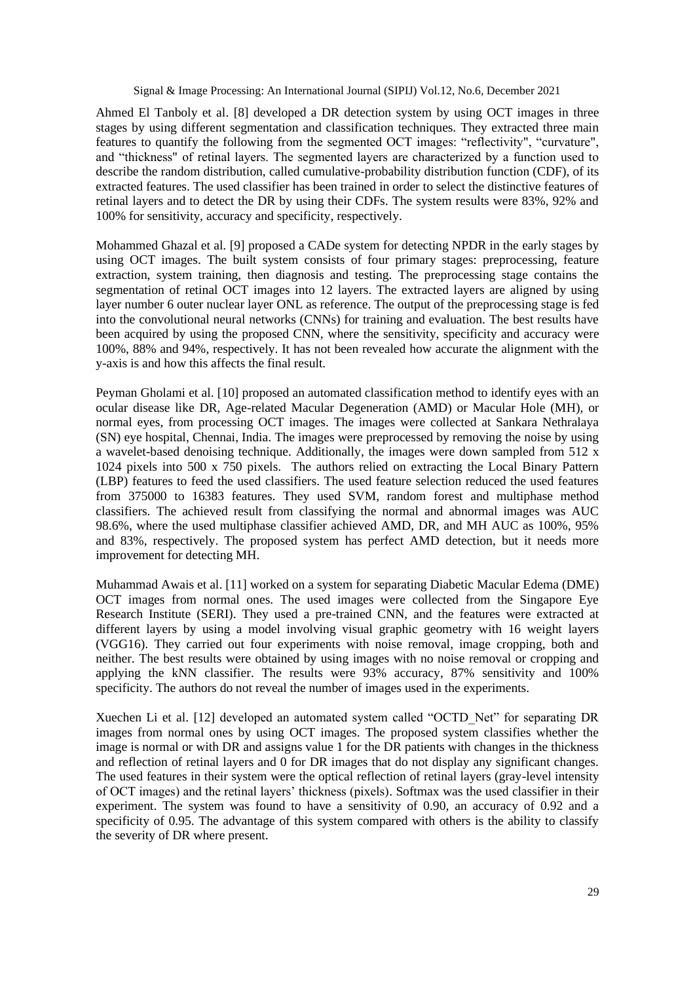Ahmed El Tanboly et al. [8] developed a DR detection system by using OCT images in three stages by using different segmentation and classification techniques. They extracted three main features to quantify the following from the segmented OCT images: "reflectivity", "curvature", and "thickness" of retinal layers. The segmented layers are characterized by a function used to describe the random distribution, called cumulative-probability distribution function (CDF), of its extracted features. The used classifier has been trained in order to select the distinctive features of retinal layers and to detect the DR by using their CDFs. The system results were 83%, 92% and 100% for sensitivity, accuracy and specificity, respectively.

Mohammed Ghazal et al. [9] proposed a CADe system for detecting NPDR in the early stages by using OCT images. The built system consists of four primary stages: preprocessing, feature extraction, system training, then diagnosis and testing. The preprocessing stage contains the segmentation of retinal OCT images into 12 layers. The extracted layers are aligned by using layer number 6 outer nuclear layer ONL as reference. The output of the preprocessing stage is fed into the convolutional neural networks (CNNs) for training and evaluation. The best results have been acquired by using the proposed CNN, where the sensitivity, specificity and accuracy were 100%, 88% and 94%, respectively. It has not been revealed how accurate the alignment with the y-axis is and how this affects the final result.

Peyman Gholami et al. [10] proposed an automated classification method to identify eyes with an ocular disease like DR, Age-related Macular Degeneration (AMD) or Macular Hole (MH), or normal eyes, from processing OCT images. The images were collected at Sankara Nethralaya (SN) eye hospital, Chennai, India. The images were preprocessed by removing the noise by using a wavelet-based denoising technique. Additionally, the images were down sampled from 512 x 1024 pixels into 500 x 750 pixels. The authors relied on extracting the Local Binary Pattern (LBP) features to feed the used classifiers. The used feature selection reduced the used features from 375000 to 16383 features. They used SVM, random forest and multiphase method classifiers. The achieved result from classifying the normal and abnormal images was AUC 98.6%, where the used multiphase classifier achieved AMD, DR, and MH AUC as 100%, 95% and 83%, respectively. The proposed system has perfect AMD detection, but it needs more improvement for detecting MH.

Muhammad Awais et al. [11] worked on a system for separating Diabetic Macular Edema (DME) OCT images from normal ones. The used images were collected from the Singapore Eye Research Institute (SERI). They used a pre-trained CNN, and the features were extracted at different layers by using a model involving visual graphic geometry with 16 weight layers (VGG16). They carried out four experiments with noise removal, image cropping, both and neither. The best results were obtained by using images with no noise removal or cropping and applying the kNN classifier. The results were 93% accuracy, 87% sensitivity and 100% specificity. The authors do not reveal the number of images used in the experiments.

Xuechen Li et al. [12] developed an automated system called "OCTD\_Net" for separating DR images from normal ones by using OCT images. The proposed system classifies whether the image is normal or with DR and assigns value 1 for the DR patients with changes in the thickness and reflection of retinal layers and 0 for DR images that do not display any significant changes. The used features in their system were the optical reflection of retinal layers (gray-level intensity of OCT images) and the retinal layers' thickness (pixels). Softmax was the used classifier in their experiment. The system was found to have a sensitivity of 0.90, an accuracy of 0.92 and a specificity of 0.95. The advantage of this system compared with others is the ability to classify the severity of DR where present.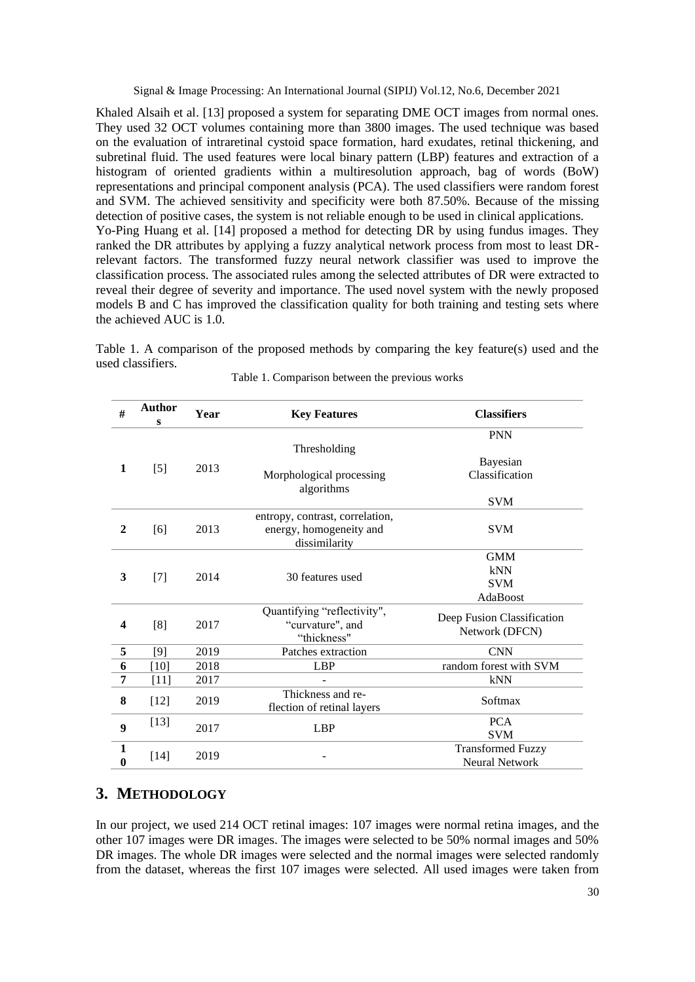Khaled Alsaih et al. [13] proposed a system for separating DME OCT images from normal ones. They used 32 OCT volumes containing more than 3800 images. The used technique was based on the evaluation of intraretinal cystoid space formation, hard exudates, retinal thickening, and subretinal fluid. The used features were local binary pattern (LBP) features and extraction of a histogram of oriented gradients within a multiresolution approach, bag of words (BoW) representations and principal component analysis (PCA). The used classifiers were random forest and SVM. The achieved sensitivity and specificity were both 87.50%. Because of the missing detection of positive cases, the system is not reliable enough to be used in clinical applications. Yo-Ping Huang et al. [14] proposed a method for detecting DR by using fundus images. They ranked the DR attributes by applying a fuzzy analytical network process from most to least DRrelevant factors. The transformed fuzzy neural network classifier was used to improve the classification process. The associated rules among the selected attributes of DR were extracted to reveal their degree of severity and importance. The used novel system with the newly proposed models B and C has improved the classification quality for both training and testing sets where the achieved AUC is 1.0.

Table 1. A comparison of the proposed methods by comparing the key feature(s) used and the used classifiers.

| #                       | <b>Author</b><br>s | Year | <b>Key Features</b>                                                         | <b>Classifiers</b>                                |  |
|-------------------------|--------------------|------|-----------------------------------------------------------------------------|---------------------------------------------------|--|
| 1                       | $[5]$              | 2013 | Thresholding<br>Morphological processing                                    | <b>PNN</b><br>Bayesian<br>Classification          |  |
|                         |                    |      | algorithms                                                                  | <b>SVM</b>                                        |  |
| $\overline{2}$          | [6]                | 2013 | entropy, contrast, correlation,<br>energy, homogeneity and<br>dissimilarity | <b>SVM</b>                                        |  |
| 3                       | $[7]$              | 2014 | 30 features used                                                            | <b>GMM</b><br>kNN<br><b>SVM</b><br>AdaBoost       |  |
| $\overline{\mathbf{4}}$ | [8]                | 2017 | Quantifying "reflectivity",<br>"curvature", and<br>"thickness"              | Deep Fusion Classification<br>Network (DFCN)      |  |
| 5                       | [9]                | 2019 | Patches extraction                                                          | <b>CNN</b>                                        |  |
| 6                       | $[10]$             | 2018 | <b>LBP</b>                                                                  | random forest with SVM                            |  |
| 7                       | $[11]$             | 2017 |                                                                             | kNN                                               |  |
| 8                       | $[12]$             | 2019 | Thickness and re-<br>flection of retinal layers                             | Softmax                                           |  |
| 9                       | $[13]$             | 2017 | <b>LBP</b>                                                                  | <b>PCA</b><br><b>SVM</b>                          |  |
| 1<br>$\bf{0}$           | $[14]$             | 2019 |                                                                             | <b>Transformed Fuzzy</b><br><b>Neural Network</b> |  |

Table 1. Comparison between the previous works

# **3. METHODOLOGY**

In our project, we used 214 OCT retinal images: 107 images were normal retina images, and the other 107 images were DR images. The images were selected to be 50% normal images and 50% DR images. The whole DR images were selected and the normal images were selected randomly from the dataset, whereas the first 107 images were selected. All used images were taken from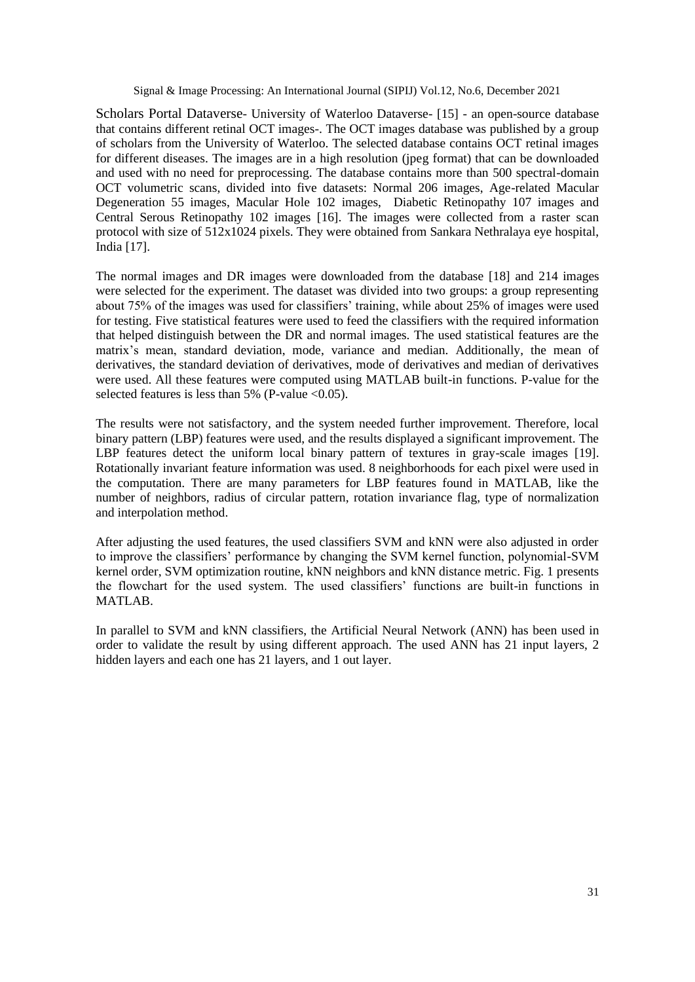[Scholars Portal Dataverse](https://dataverse.scholarsportal.info/dataverse/sp)- University of Waterloo Dataverse- [15] - an open-source database that contains different retinal OCT images-. The OCT images database was published by a group of scholars from the University of Waterloo. The selected database contains OCT retinal images for different diseases. The images are in a high resolution (jpeg format) that can be downloaded and used with no need for preprocessing. The database contains more than 500 spectral-domain OCT volumetric scans, divided into five datasets: Normal 206 images, Age-related Macular Degeneration 55 images, Macular Hole 102 images, Diabetic Retinopathy 107 images and Central Serous Retinopathy 102 images [16]. The images were collected from a raster scan protocol with size of 512x1024 pixels. They were obtained from Sankara Nethralaya eye hospital, India [17].

The normal images and DR images were downloaded from the database [18] and 214 images were selected for the experiment. The dataset was divided into two groups: a group representing about 75% of the images was used for classifiers' training, while about 25% of images were used for testing. Five statistical features were used to feed the classifiers with the required information that helped distinguish between the DR and normal images. The used statistical features are the matrix's mean, standard deviation, mode, variance and median. Additionally, the mean of derivatives, the standard deviation of derivatives, mode of derivatives and median of derivatives were used. All these features were computed using MATLAB built-in functions. P-value for the selected features is less than 5% (P-value  $\leq 0.05$ ).

The results were not satisfactory, and the system needed further improvement. Therefore, local binary pattern (LBP) features were used, and the results displayed a significant improvement. The LBP features detect the uniform local binary pattern of textures in gray-scale images [19]. Rotationally invariant feature information was used. 8 neighborhoods for each pixel were used in the computation. There are many parameters for LBP features found in MATLAB, like the number of neighbors, radius of circular pattern, rotation invariance flag, type of normalization and interpolation method.

After adjusting the used features, the used classifiers SVM and kNN were also adjusted in order to improve the classifiers' performance by changing the SVM kernel function, polynomial-SVM kernel order, SVM optimization routine, kNN neighbors and kNN distance metric. Fig. 1 presents the flowchart for the used system. The used classifiers' functions are built-in functions in MATLAB.

In parallel to SVM and kNN classifiers, the Artificial Neural Network (ANN) has been used in order to validate the result by using different approach. The used ANN has 21 input layers, 2 hidden layers and each one has 21 layers, and 1 out layer.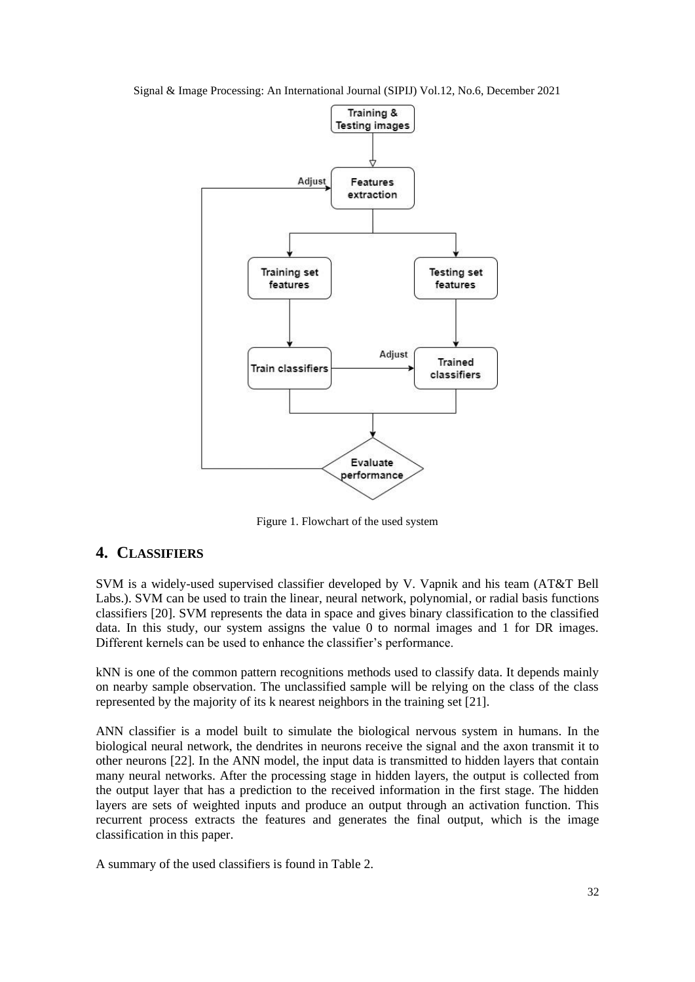Signal & Image Processing: An International Journal (SIPIJ) Vol.12, No.6, December 2021



Figure 1. Flowchart of the used system

# **4. CLASSIFIERS**

SVM is a widely-used supervised classifier developed by V. Vapnik and his team (AT&T Bell Labs.). SVM can be used to train the linear, neural network, polynomial, or radial basis functions classifiers [20]. SVM represents the data in space and gives binary classification to the classified data. In this study, our system assigns the value 0 to normal images and 1 for DR images. Different kernels can be used to enhance the classifier's performance.

kNN is one of the common pattern recognitions methods used to classify data. It depends mainly on nearby sample observation. The unclassified sample will be relying on the class of the class represented by the majority of its k nearest neighbors in the training set [21].

ANN classifier is a model built to simulate the biological nervous system in humans. In the biological neural network, the dendrites in neurons receive the signal and the axon transmit it to other neurons [22]. In the ANN model, the input data is transmitted to hidden layers that contain many neural networks. After the processing stage in hidden layers, the output is collected from the output layer that has a prediction to the received information in the first stage. The hidden layers are sets of weighted inputs and produce an output through an activation function. This recurrent process extracts the features and generates the final output, which is the image classification in this paper.

A summary of the used classifiers is found in Table 2.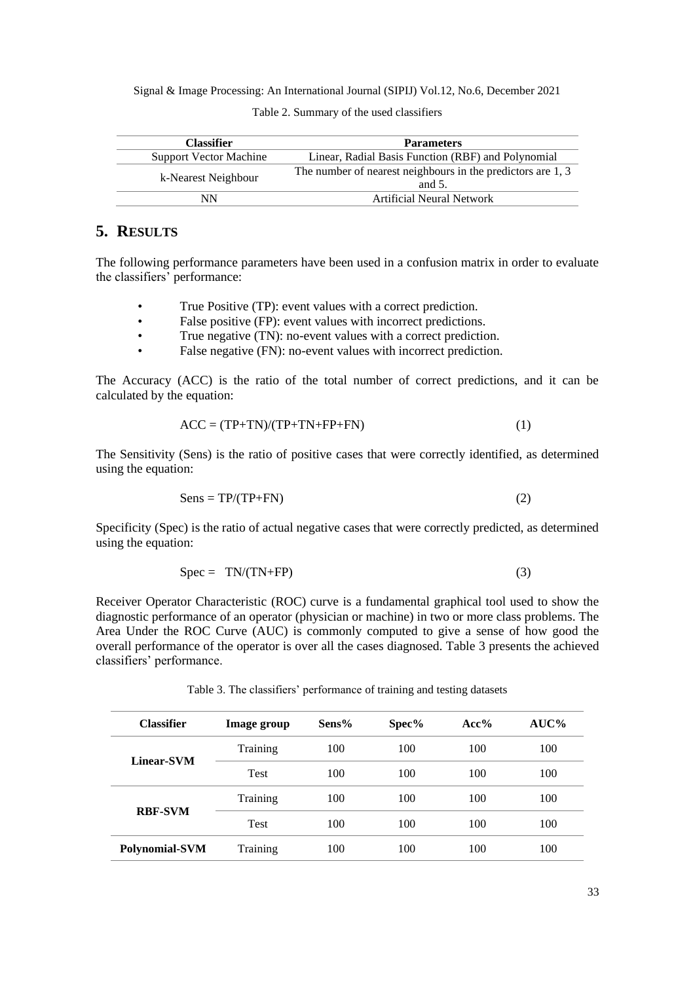| <b>Classifier</b>             | <b>Parameters</b>                                                                                                              |  |  |
|-------------------------------|--------------------------------------------------------------------------------------------------------------------------------|--|--|
| <b>Support Vector Machine</b> | Linear, Radial Basis Function (RBF) and Polynomial<br>The number of nearest neighbours in the predictors are 1, 3<br>and $5$ . |  |  |
| k-Nearest Neighbour           |                                                                                                                                |  |  |
| NN                            | Artificial Neural Network                                                                                                      |  |  |

Table 2. Summary of the used classifiers

# **5. RESULTS**

The following performance parameters have been used in a confusion matrix in order to evaluate the classifiers' performance:

- True Positive (TP): event values with a correct prediction.
- False positive (FP): event values with incorrect predictions.
- True negative (TN): no-event values with a correct prediction.
- False negative (FN): no-event values with incorrect prediction.

The Accuracy (ACC) is the ratio of the total number of correct predictions, and it can be calculated by the equation:

$$
ACC = (TP+TN)/(TP+TN+FP+FN)
$$
 (1)

The Sensitivity (Sens) is the ratio of positive cases that were correctly identified, as determined using the equation:

$$
Sens = TP/(TP+FN)
$$
 (2)

Specificity (Spec) is the ratio of actual negative cases that were correctly predicted, as determined using the equation:

$$
Spec = TN/(TN+FP)
$$
 (3)

Receiver Operator Characteristic (ROC) curve is a fundamental graphical tool used to show the diagnostic performance of an operator (physician or machine) in two or more class problems. The Area Under the ROC Curve (AUC) is commonly computed to give a sense of how good the overall performance of the operator is over all the cases diagnosed. Table 3 presents the achieved classifiers' performance.

**Classifier Image group Sens% Spec% Acc% AUC% Linear-SVM** Training 100 100 100 100 Test 100 100 100 100 **RBF-SVM** Training 100 100 100 100 Test 100 100 100 100 **Polynomial-SVM** Training 100 100 100 100

Table 3. The classifiers' performance of training and testing datasets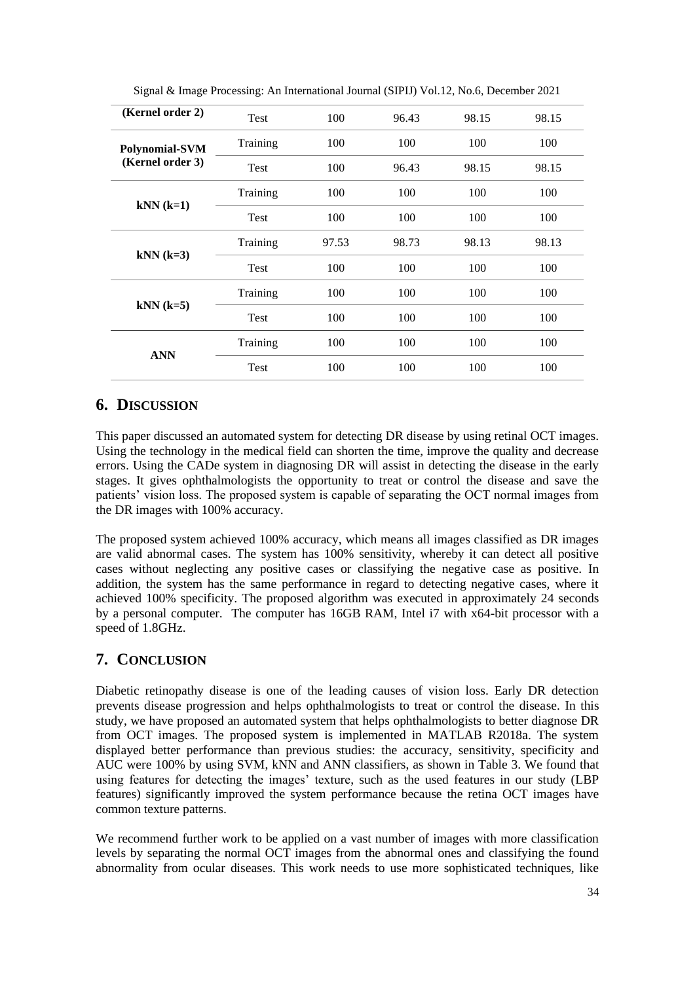| (Kernel order 2) | Test        | 100   | 96.43 | 98.15 | 98.15 |
|------------------|-------------|-------|-------|-------|-------|
| Polynomial-SVM   | Training    | 100   | 100   | 100   | 100   |
| (Kernel order 3) | Test        | 100   | 96.43 | 98.15 | 98.15 |
|                  | Training    | 100   | 100   | 100   | 100   |
| $kNN (k=1)$      | Test        | 100   | 100   | 100   | 100   |
|                  | Training    | 97.53 | 98.73 | 98.13 | 98.13 |
| $kNN (k=3)$      | <b>Test</b> | 100   | 100   | 100   | 100   |
|                  | Training    | 100   | 100   | 100   | 100   |
| $kNN (k=5)$      | Test        | 100   | 100   | 100   | 100   |
|                  | Training    | 100   | 100   | 100   | 100   |
| <b>ANN</b>       | Test        | 100   | 100   | 100   | 100   |

Signal & Image Processing: An International Journal (SIPIJ) Vol.12, No.6, December 2021

# **6. DISCUSSION**

This paper discussed an automated system for detecting DR disease by using retinal OCT images. Using the technology in the medical field can shorten the time, improve the quality and decrease errors. Using the CADe system in diagnosing DR will assist in detecting the disease in the early stages. It gives ophthalmologists the opportunity to treat or control the disease and save the patients' vision loss. The proposed system is capable of separating the OCT normal images from the DR images with 100% accuracy.

The proposed system achieved 100% accuracy, which means all images classified as DR images are valid abnormal cases. The system has 100% sensitivity, whereby it can detect all positive cases without neglecting any positive cases or classifying the negative case as positive. In addition, the system has the same performance in regard to detecting negative cases, where it achieved 100% specificity. The proposed algorithm was executed in approximately 24 seconds by a personal computer. The computer has 16GB RAM, Intel i7 with x64-bit processor with a speed of 1.8GHz.

# **7. CONCLUSION**

Diabetic retinopathy disease is one of the leading causes of vision loss. Early DR detection prevents disease progression and helps ophthalmologists to treat or control the disease. In this study, we have proposed an automated system that helps ophthalmologists to better diagnose DR from OCT images. The proposed system is implemented in MATLAB R2018a. The system displayed better performance than previous studies: the accuracy, sensitivity, specificity and AUC were 100% by using SVM, kNN and ANN classifiers, as shown in Table 3. We found that using features for detecting the images' texture, such as the used features in our study (LBP features) significantly improved the system performance because the retina OCT images have common texture patterns.

We recommend further work to be applied on a vast number of images with more classification levels by separating the normal OCT images from the abnormal ones and classifying the found abnormality from ocular diseases. This work needs to use more sophisticated techniques, like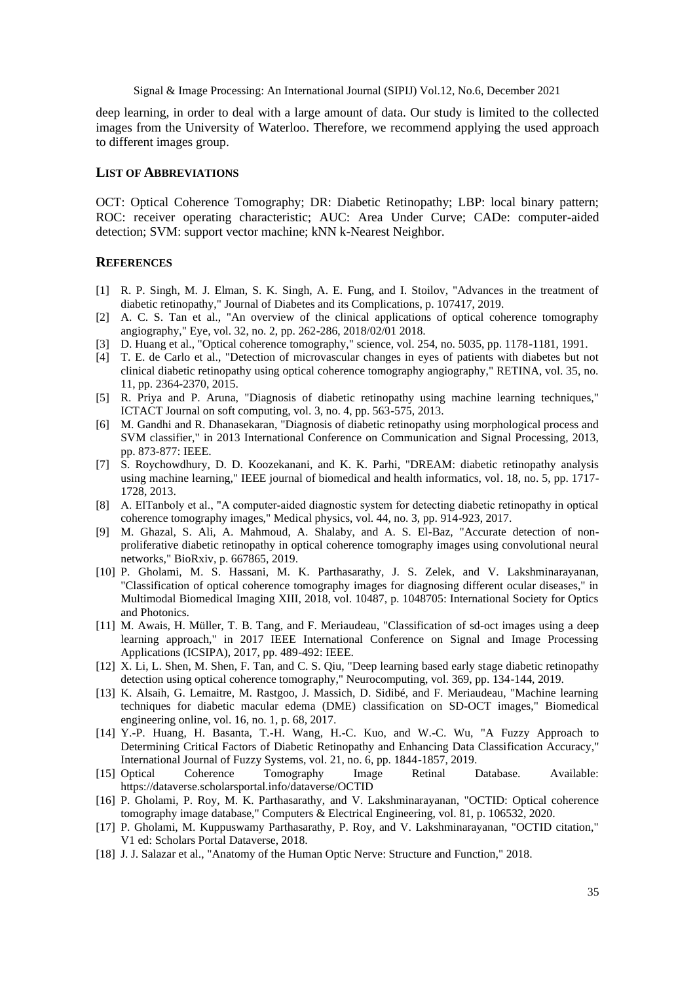deep learning, in order to deal with a large amount of data. Our study is limited to the collected images from the University of Waterloo. Therefore, we recommend applying the used approach to different images group.

#### **LIST OF ABBREVIATIONS**

OCT: Optical Coherence Tomography; DR: Diabetic Retinopathy; LBP: local binary pattern; ROC: receiver operating characteristic; AUC: Area Under Curve; CADe: computer-aided detection; SVM: support vector machine; kNN k-Nearest Neighbor.

#### **REFERENCES**

- [1] R. P. Singh, M. J. Elman, S. K. Singh, A. E. Fung, and I. Stoilov, "Advances in the treatment of diabetic retinopathy," Journal of Diabetes and its Complications, p. 107417, 2019.
- [2] A. C. S. Tan et al., "An overview of the clinical applications of optical coherence tomography angiography," Eye, vol. 32, no. 2, pp. 262-286, 2018/02/01 2018.
- [3] D. Huang et al., "Optical coherence tomography," science, vol. 254, no. 5035, pp. 1178-1181, 1991.
- [4] T. E. de Carlo et al., "Detection of microvascular changes in eyes of patients with diabetes but not clinical diabetic retinopathy using optical coherence tomography angiography," RETINA, vol. 35, no. 11, pp. 2364-2370, 2015.
- [5] R. Priya and P. Aruna, "Diagnosis of diabetic retinopathy using machine learning techniques," ICTACT Journal on soft computing, vol. 3, no. 4, pp. 563-575, 2013.
- [6] M. Gandhi and R. Dhanasekaran, "Diagnosis of diabetic retinopathy using morphological process and SVM classifier," in 2013 International Conference on Communication and Signal Processing, 2013, pp. 873-877: IEEE.
- [7] S. Roychowdhury, D. D. Koozekanani, and K. K. Parhi, "DREAM: diabetic retinopathy analysis using machine learning," IEEE journal of biomedical and health informatics, vol. 18, no. 5, pp. 1717- 1728, 2013.
- [8] A. ElTanboly et al., "A computer-aided diagnostic system for detecting diabetic retinopathy in optical coherence tomography images," Medical physics, vol. 44, no. 3, pp. 914-923, 2017.
- [9] M. Ghazal, S. Ali, A. Mahmoud, A. Shalaby, and A. S. El-Baz, "Accurate detection of nonproliferative diabetic retinopathy in optical coherence tomography images using convolutional neural networks," BioRxiv, p. 667865, 2019.
- [10] P. Gholami, M. S. Hassani, M. K. Parthasarathy, J. S. Zelek, and V. Lakshminarayanan, "Classification of optical coherence tomography images for diagnosing different ocular diseases," in Multimodal Biomedical Imaging XIII, 2018, vol. 10487, p. 1048705: International Society for Optics and Photonics.
- [11] M. Awais, H. Müller, T. B. Tang, and F. Meriaudeau, "Classification of sd-oct images using a deep learning approach," in 2017 IEEE International Conference on Signal and Image Processing Applications (ICSIPA), 2017, pp. 489-492: IEEE.
- [12] X. Li, L. Shen, M. Shen, F. Tan, and C. S. Qiu, "Deep learning based early stage diabetic retinopathy detection using optical coherence tomography," Neurocomputing, vol. 369, pp. 134-144, 2019.
- [13] K. Alsaih, G. Lemaitre, M. Rastgoo, J. Massich, D. Sidibé, and F. Meriaudeau, "Machine learning techniques for diabetic macular edema (DME) classification on SD-OCT images," Biomedical engineering online, vol. 16, no. 1, p. 68, 2017.
- [14] Y.-P. Huang, H. Basanta, T.-H. Wang, H.-C. Kuo, and W.-C. Wu, "A Fuzzy Approach to Determining Critical Factors of Diabetic Retinopathy and Enhancing Data Classification Accuracy," International Journal of Fuzzy Systems, vol. 21, no. 6, pp. 1844-1857, 2019.<br>
Optical Coherence Tomography Image Retinal I
- [15] Optical Coherence Tomography Image Retinal Database. Available: https://dataverse.scholarsportal.info/dataverse/OCTID
- [16] P. Gholami, P. Roy, M. K. Parthasarathy, and V. Lakshminarayanan, "OCTID: Optical coherence tomography image database," Computers & Electrical Engineering, vol. 81, p. 106532, 2020.
- [17] P. Gholami, M. Kuppuswamy Parthasarathy, P. Roy, and V. Lakshminarayanan, "OCTID citation," V1 ed: Scholars Portal Dataverse, 2018.
- [18] J. J. Salazar et al., "Anatomy of the Human Optic Nerve: Structure and Function," 2018.